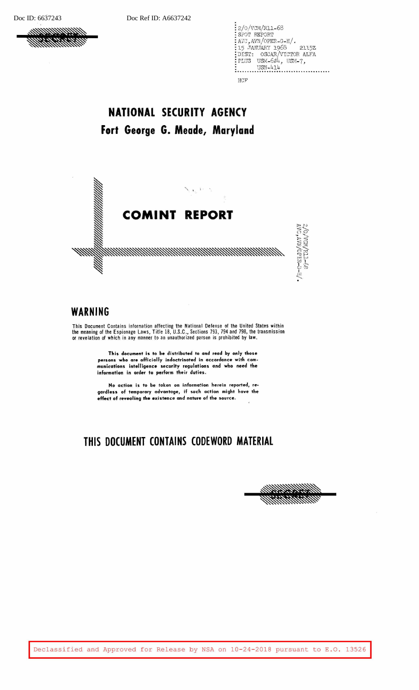

2/o/vcM/R11-68 SPOT REPORT A'JC,AVN/OPER-G-H/. 15 ,TANUARY 1968 2115Z DIST: OSCAR/VICTOR ALFA *P.UJS* USM-601,, USM-7,  $\frac{1}{1000}$  USN-414 HCF'

## **NATIONAL SECURITY AGENCY Fort George G. Meade, Maryland**



### **WARNING**

This Document Contains information affecting the National Defense of the United States within the meaning of the Espionage Laws, Title 18, U.S.C., Sections 793, 794 and 798, the transmission or revelation of which in any manner to an unauthorized person is prohibited by law.

> **This document is to be distributed to and read by only those persons who are officially indoctrinated in accordance with** com**munic:ations intelligence security regulations and who need the information in order to perform their duties.**

> **Ho action is to be taken on information herein reported, regardless of temporary advantage,** if **such action might have the effect of revealing the existence and nature of the source.**

## **THIS DOCUMENT CONTAINS CODEWORD MATERIAL**



Declassified and Approved for Release by NSA on 10-24-2018 pursuant to E.O. 13526